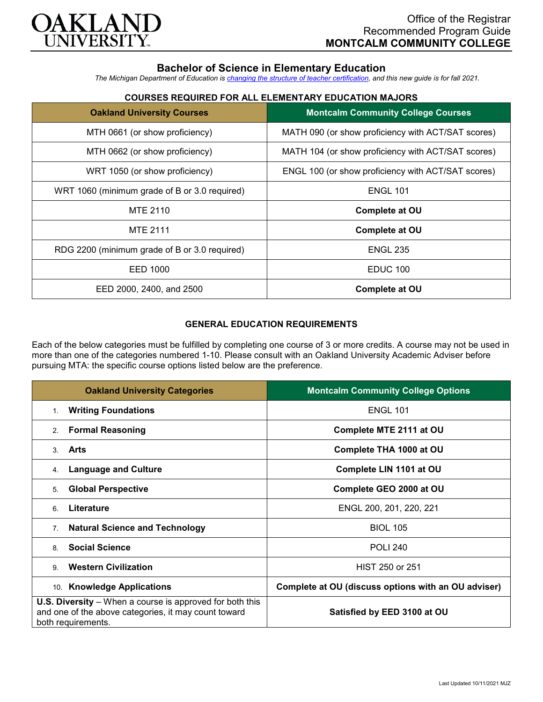

# **Bachelor of Science in Elementary Education**

*The Michigan Department of Education is [changing the structure of teacher certification,](https://docs.google.com/document/d/1W1uUK14Njx6WAB56T4jHbat65OZyg6TS04LdNWMXEcI/edit) and this new guide is for fall 2021.*

## **COURSES REQUIRED FOR ALL ELEMENTARY EDUCATION MAJORS**

| <b>Oakland University Courses</b>             | <b>Montcalm Community College Courses</b>          |
|-----------------------------------------------|----------------------------------------------------|
| MTH 0661 (or show proficiency)                | MATH 090 (or show proficiency with ACT/SAT scores) |
| MTH 0662 (or show proficiency)                | MATH 104 (or show proficiency with ACT/SAT scores) |
| WRT 1050 (or show proficiency)                | ENGL 100 (or show proficiency with ACT/SAT scores) |
| WRT 1060 (minimum grade of B or 3.0 required) | <b>ENGL 101</b>                                    |
| MTE 2110                                      | <b>Complete at OU</b>                              |
| <b>MTE 2111</b>                               | <b>Complete at OU</b>                              |
| RDG 2200 (minimum grade of B or 3.0 required) | <b>ENGL 235</b>                                    |
| EED 1000                                      | EDUC 100                                           |
| EED 2000, 2400, and 2500                      | <b>Complete at OU</b>                              |

### **GENERAL EDUCATION REQUIREMENTS**

Each of the below categories must be fulfilled by completing one course of 3 or more credits. A course may not be used in more than one of the categories numbered 1-10. Please consult with an Oakland University Academic Adviser before pursuing MTA: the specific course options listed below are the preference.

| <b>Oakland University Categories</b>                                                                                                          | <b>Montcalm Community College Options</b>           |
|-----------------------------------------------------------------------------------------------------------------------------------------------|-----------------------------------------------------|
| <b>Writing Foundations</b><br>1.                                                                                                              | <b>ENGL 101</b>                                     |
| <b>Formal Reasoning</b><br>2.                                                                                                                 | Complete MTE 2111 at OU                             |
| Arts<br>3                                                                                                                                     | Complete THA 1000 at OU                             |
| <b>Language and Culture</b><br>4.                                                                                                             | Complete LIN 1101 at OU                             |
| <b>Global Perspective</b><br>5.                                                                                                               | Complete GEO 2000 at OU                             |
| Literature<br>6                                                                                                                               | ENGL 200, 201, 220, 221                             |
| <b>Natural Science and Technology</b><br>7 <sub>1</sub>                                                                                       | <b>BIOL 105</b>                                     |
| <b>Social Science</b><br>8                                                                                                                    | <b>POLI 240</b>                                     |
| <b>Western Civilization</b><br>9                                                                                                              | HIST 250 or 251                                     |
| 10. Knowledge Applications                                                                                                                    | Complete at OU (discuss options with an OU adviser) |
| <b>U.S. Diversity</b> – When a course is approved for both this<br>and one of the above categories, it may count toward<br>both requirements. | Satisfied by EED 3100 at OU                         |